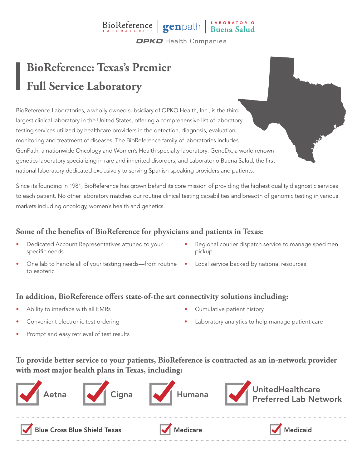# BioReference genpath Buena Salud

**OPKO** Health Companies

### **BioReference: Texas's Premier Full Service Laboratory**

BioReference Laboratories, a wholly owned subsidiary of OPKO Health, Inc., is the third largest clinical laboratory in the United States, offering a comprehensive list of laboratory testing services utilized by healthcare providers in the detection, diagnosis, evaluation, monitoring and treatment of diseases. The BioReference family of laboratories includes GenPath, a nationwide Oncology and Women's Health specialty laboratory; GeneDx, a world renown genetics laboratory specializing in rare and inherited disorders; and Laboratorio Buena Salud, the first national laboratory dedicated exclusively to serving Spanish-speaking providers and patients.

Since its founding in 1981, BioReference has grown behind its core mission of providing the highest quality diagnostic services to each patient. No other laboratory matches our routine clinical testing capabilities and breadth of genomic testing in various markets including oncology, women's health and genetics.

#### **Some of the benefits of BioReference for physicians and patients in Texas:**

- Dedicated Account Representatives attuned to your specific needs
- One lab to handle all of your testing needs—from routine Local service backed by national resources to esoteric
- Regional courier dispatch service to manage specimen pickup
	-

#### **In addition, BioReference offers state-of-the art connectivity solutions including:**

- Ability to interface with all EMRs
- Convenient electronic test ordering
- Cumulative patient history
- Laboratory analytics to help manage patient care

Prompt and easy retrieval of test results

#### **To provide better service to your patients, BioReference is contracted as an in-network provider with most major health plans in Texas, including:**